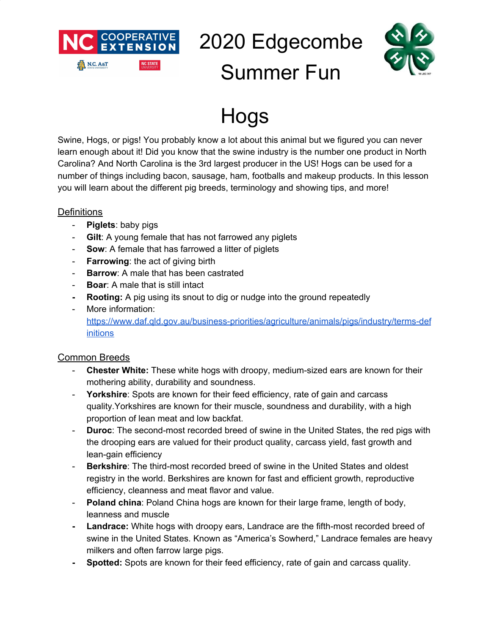

2020 Edgecombe Summer Fun



### Hogs

Swine, Hogs, or pigs! You probably know a lot about this animal but we figured you can never learn enough about it! Did you know that the swine industry is the number one product in North Carolina? And North Carolina is the 3rd largest producer in the US! Hogs can be used for a number of things including bacon, sausage, ham, footballs and makeup products. In this lesson you will learn about the different pig breeds, terminology and showing tips, and more!

#### **Definitions**

- **Piglets**: baby pigs
- **Gilt**: A young female that has not farrowed any piglets
- **Sow**: A female that has farrowed a litter of piglets
- **Farrowing**: the act of giving birth
- **Barrow**: A male that has been castrated
- **Boar**: A male that is still intact
- **- Rooting:** A pig using its snout to dig or nudge into the ground repeatedly
- More information: [https://www.daf.qld.gov.au/business-priorities/agriculture/animals/pigs/industry/terms-def](https://www.daf.qld.gov.au/business-priorities/agriculture/animals/pigs/industry/terms-definitions) [initions](https://www.daf.qld.gov.au/business-priorities/agriculture/animals/pigs/industry/terms-definitions)

#### Common Breeds

- **Chester White:** These white hogs with droopy, medium-sized ears are known for their mothering ability, durability and soundness.
- **Yorkshire**: Spots are known for their feed efficiency, rate of gain and carcass quality.Yorkshires are known for their muscle, soundness and durability, with a high proportion of lean meat and low backfat.
- **Duroc**: The second-most recorded breed of swine in the United States, the red pigs with the drooping ears are valued for their product quality, carcass yield, fast growth and lean-gain efficiency
- **Berkshire**: The third-most recorded breed of swine in the United States and oldest registry in the world. Berkshires are known for fast and efficient growth, reproductive efficiency, cleanness and meat flavor and value.
- **Poland china**: Poland China hogs are known for their large frame, length of body, leanness and muscle
- **- Landrace:** White hogs with droopy ears, Landrace are the fifth-most recorded breed of swine in the United States. Known as "America's Sowherd," Landrace females are heavy milkers and often farrow large pigs.
- **- Spotted:** Spots are known for their feed efficiency, rate of gain and carcass quality.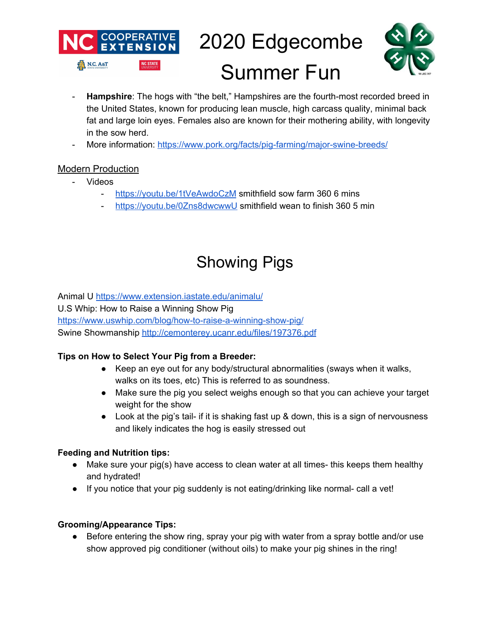

## 2020 Edgecombe Summer Fun



- **Hampshire**: The hogs with "the belt," Hampshires are the fourth-most recorded breed in the United States, known for producing lean muscle, high carcass quality, minimal back fat and large loin eyes. Females also are known for their mothering ability, with longevity in the sow herd.
- More information: <https://www.pork.org/facts/pig-farming/major-swine-breeds/>

#### Modern Production

- Videos
	- <https://youtu.be/1tVeAwdoCzM> smithfield sow farm 360 6 mins
	- <https://youtu.be/0Zns8dwcwwU> smithfield wean to finish 360 5 min

### Showing Pigs

Animal U <https://www.extension.iastate.edu/animalu/> U.S Whip: How to Raise a Winning Show Pig <https://www.uswhip.com/blog/how-to-raise-a-winning-show-pig/> Swine Showmanship <http://cemonterey.ucanr.edu/files/197376.pdf>

#### **Tips on How to Select Your Pig from a Breeder:**

- Keep an eye out for any body/structural abnormalities (sways when it walks, walks on its toes, etc) This is referred to as soundness.
- Make sure the pig you select weighs enough so that you can achieve your target weight for the show
- Look at the pig's tail- if it is shaking fast up & down, this is a sign of nervousness and likely indicates the hog is easily stressed out

#### **Feeding and Nutrition tips:**

- Make sure your pig(s) have access to clean water at all times- this keeps them healthy and hydrated!
- If you notice that your pig suddenly is not eating/drinking like normal- call a vet!

#### **Grooming/Appearance Tips:**

● Before entering the show ring, spray your pig with water from a spray bottle and/or use show approved pig conditioner (without oils) to make your pig shines in the ring!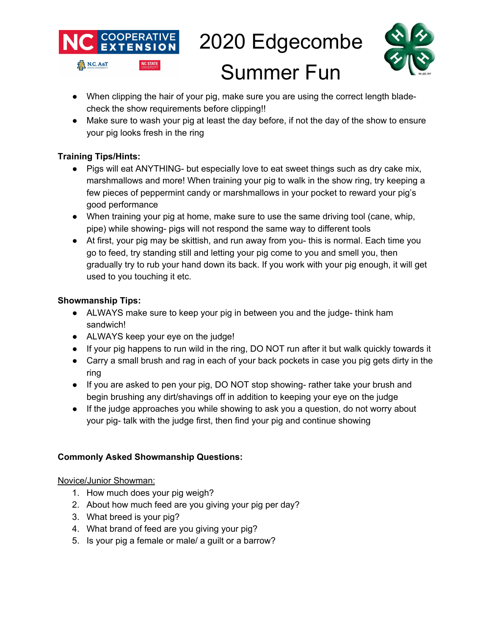



- When clipping the hair of your pig, make sure you are using the correct length bladecheck the show requirements before clipping!!
- Make sure to wash your pig at least the day before, if not the day of the show to ensure your pig looks fresh in the ring

#### **Training Tips/Hints:**

- Pigs will eat ANYTHING- but especially love to eat sweet things such as dry cake mix, marshmallows and more! When training your pig to walk in the show ring, try keeping a few pieces of peppermint candy or marshmallows in your pocket to reward your pig's good performance
- When training your pig at home, make sure to use the same driving tool (cane, whip, pipe) while showing- pigs will not respond the same way to different tools
- At first, your pig may be skittish, and run away from you- this is normal. Each time you go to feed, try standing still and letting your pig come to you and smell you, then gradually try to rub your hand down its back. If you work with your pig enough, it will get used to you touching it etc.

#### **Showmanship Tips:**

- ALWAYS make sure to keep your pig in between you and the judge- think ham sandwich!
- ALWAYS keep your eye on the judge!
- If your pig happens to run wild in the ring, DO NOT run after it but walk quickly towards it
- Carry a small brush and rag in each of your back pockets in case you pig gets dirty in the ring
- If you are asked to pen your pig, DO NOT stop showing- rather take your brush and begin brushing any dirt/shavings off in addition to keeping your eye on the judge
- If the judge approaches you while showing to ask you a question, do not worry about your pig- talk with the judge first, then find your pig and continue showing

#### **Commonly Asked Showmanship Questions:**

#### Novice/Junior Showman:

- 1. How much does your pig weigh?
- 2. About how much feed are you giving your pig per day?
- 3. What breed is your pig?
- 4. What brand of feed are you giving your pig?
- 5. Is your pig a female or male/ a guilt or a barrow?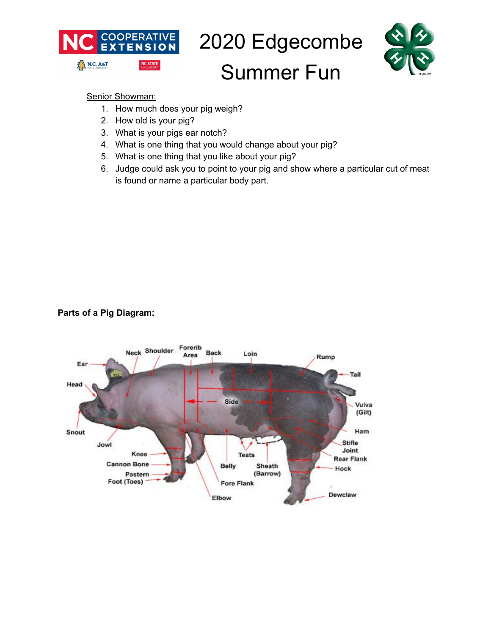

# 2020 Edgecombe



### Summer Fun

Senior Showman:

- 1. How much does your pig weigh?
- 2. How old is your pig?
- 3. What is your pigs ear notch?
- 4. What is one thing that you would change about your pig?
- 5. What is one thing that you like about your pig?
- 6. Judge could ask you to point to your pig and show where a particular cut of meat is found or name a particular body part.

**Parts of a Pig Diagram:**

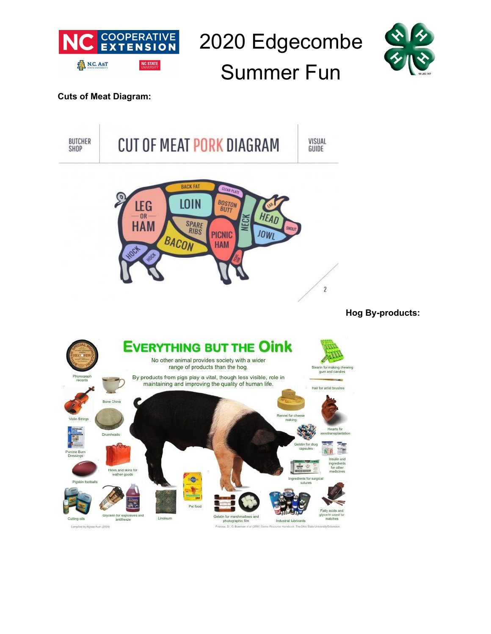

2020 Edgecombe Summer Fun



#### **Cuts of Meat Diagram:**